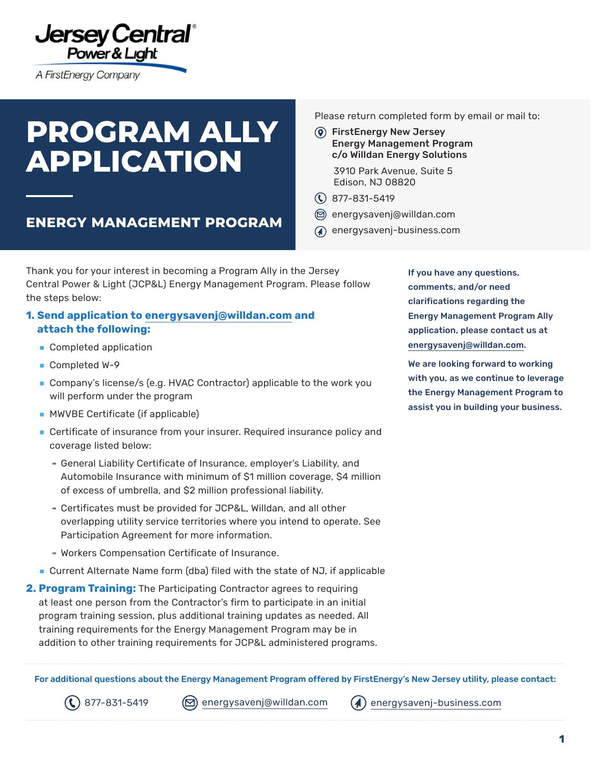

A FirstEnergy Company

# **PROGRAM ALLY APPLICATION**

**ENERGY MANAGEMENT PROGRAM**

Please return completed form by email or mail to:

 FirstEnergy New Jersey Energy Management Program c/o Willdan Energy Solutions

> 3910 Park Avenue, Suite 5 Edison, NJ 08820

- $\textcircled{R}$  877-831-5419
- [energysavenj@willdan.com](mailto:energysavenj%40willdan.com?subject=)
- [energysavenj-business.com](https://firstenergycorp.com/content/customer/save_energy/save_energy_new_jersey/for_your_business_nj.html)

Thank you for your interest in becoming a Program Ally in the Jersey Central Power & Light (JCP&L) Energy Management Program. Please follow the steps below:

#### **1. Send application to [energysavenj@willdan.com](mailto:energysavenj%40willdan.com?subject=) and attach the following:**

- **■** Completed application
- **■** Completed W-9
- Company's license/s (e.g. HVAC Contractor) applicable to the work you will perform under the program
- **■** MWVBE Certificate (if applicable)
- Certificate of insurance from your insurer. Required insurance policy and coverage listed below:
	- General Liability Certificate of Insurance, employer's Liability, and Automobile Insurance with minimum of \$1 million coverage, \$4 million of excess of umbrella, and \$2 million professional liability.
	- Certificates must be provided for JCP&L, Willdan, and all other overlapping utility service territories where you intend to operate. See Participation Agreement for more information.
	- Workers Compensation Certificate of Insurance.
- **■** Current Alternate Name form (dba) filed with the state of NJ, if applicable
- **2. Program Training:** The Participating Contractor agrees to requiring at least one person from the Contractor's firm to participate in an initial program training session, plus additional training updates as needed. All training requirements for the Energy Management Program may be in addition to other training requirements for JCP&L administered programs.

For additional questions about the Energy Management Program offered by FirstEnergy's New Jersey utility, please contact:

 $\mathcal{L}(\mathcal{L})$  877-831-5419  $\qquad$  [energysavenj@willdan.com](mailto:energysavenj%40willdan.com?subject=)  $\qquad$  [energysavenj-business.com](http://energysavenj-business.com)

If you have any questions, comments, and/or need clarifications regarding the Energy Management Program Ally application, please contact us at [energysavenj@willdan.com](mailto:energysavenj%40willdan.com?subject=).

We are looking forward to working with you, as we continue to leverage the Energy Management Program to assist you in building your business.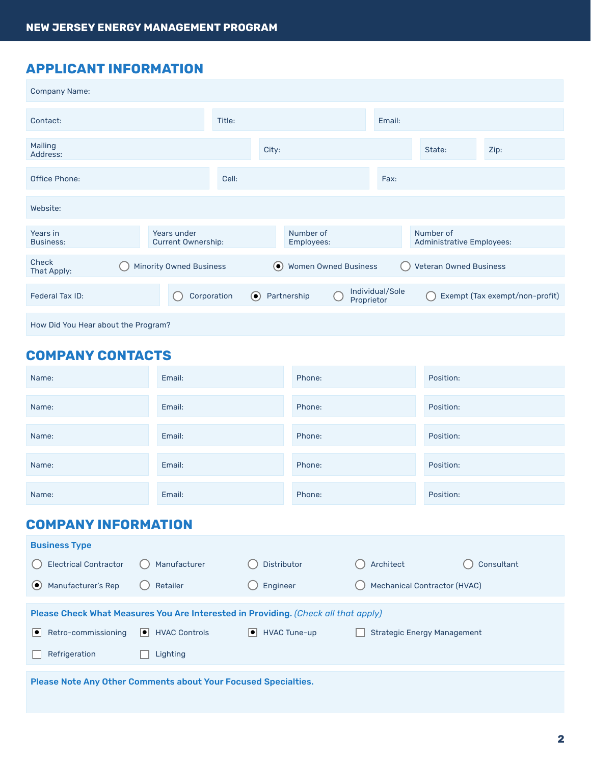# **APPLICANT INFORMATION**

| <b>Company Name:</b>                |                                          |        |         |                             |                               |                                        |                                |  |
|-------------------------------------|------------------------------------------|--------|---------|-----------------------------|-------------------------------|----------------------------------------|--------------------------------|--|
| Contact:                            |                                          | Title: |         |                             | Email:                        |                                        |                                |  |
| Mailing<br>Address:                 |                                          |        | City:   |                             |                               | State:                                 | Zip:                           |  |
| Office Phone:                       |                                          | Cell:  |         |                             | Fax:                          |                                        |                                |  |
| Website:                            |                                          |        |         |                             |                               |                                        |                                |  |
| Years in<br>Business:               | Years under<br><b>Current Ownership:</b> |        |         | Number of<br>Employees:     |                               | Number of<br>Administrative Employees: |                                |  |
| <b>Check</b><br>That Apply:         | <b>Minority Owned Business</b>           |        | $\odot$ | <b>Women Owned Business</b> |                               | <b>Veteran Owned Business</b>          |                                |  |
| Federal Tax ID:                     | Corporation                              |        | $\odot$ | Partnership                 | Individual/Sole<br>Proprietor |                                        | Exempt (Tax exempt/non-profit) |  |
| How Did You Hear about the Program? |                                          |        |         |                             |                               |                                        |                                |  |

# **COMPANY CONTACTS**

| Name:                                           | Email:                                                                             |                        | Phone: |           | Position:                           |  |  |  |
|-------------------------------------------------|------------------------------------------------------------------------------------|------------------------|--------|-----------|-------------------------------------|--|--|--|
| Name:                                           | Email:                                                                             |                        | Phone: |           | Position:                           |  |  |  |
| Name:                                           | Email:                                                                             |                        | Phone: |           | Position:                           |  |  |  |
| Name:                                           | Email:                                                                             |                        | Phone: |           | Position:                           |  |  |  |
| Name:                                           | Email:                                                                             |                        | Phone: |           | Position:                           |  |  |  |
| <b>COMPANY INFORMATION</b>                      |                                                                                    |                        |        |           |                                     |  |  |  |
| <b>Business Type</b>                            |                                                                                    |                        |        |           |                                     |  |  |  |
| <b>Electrical Contractor</b>                    | Manufacturer                                                                       | Distributor            |        | Architect | Consultant                          |  |  |  |
| $\left( \bullet \right)$<br>Manufacturer's Rep  | Retailer                                                                           | Engineer               |        |           | <b>Mechanical Contractor (HVAC)</b> |  |  |  |
|                                                 | Please Check What Measures You Are Interested in Providing. (Check all that apply) |                        |        |           |                                     |  |  |  |
| Retro-commissioning<br>$\overline{\phantom{a}}$ | $\bullet$ HVAC Controls                                                            | $\bullet$ HVAC Tune-up |        |           | <b>Strategic Energy Management</b>  |  |  |  |
| Refrigeration                                   | Lighting                                                                           |                        |        |           |                                     |  |  |  |
|                                                 | Please Note Any Other Comments about Your Focused Specialties.                     |                        |        |           |                                     |  |  |  |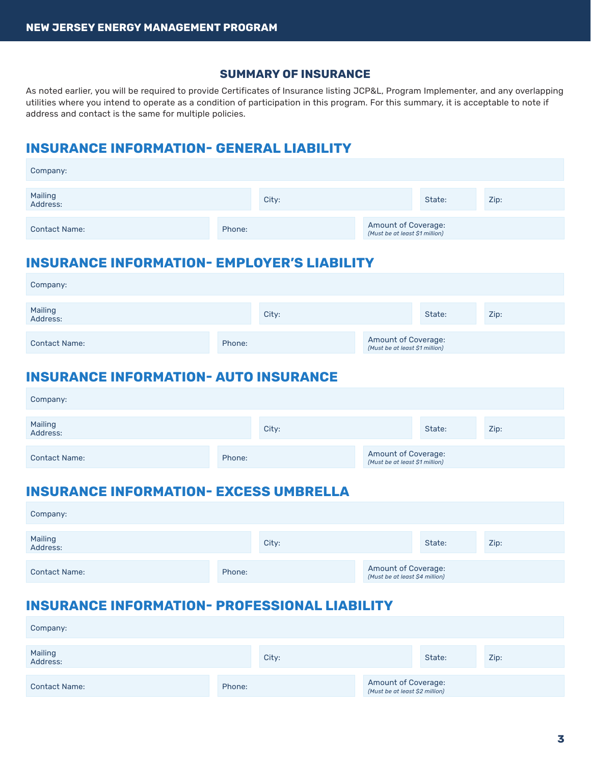#### **SUMMARY OF INSURANCE**

As noted earlier, you will be required to provide Certificates of Insurance listing JCP&L, Program Implementer, and any overlapping utilities where you intend to operate as a condition of participation in this program. For this summary, it is acceptable to note if address and contact is the same for multiple policies.

# **INSURANCE INFORMATION- GENERAL LIABILITY**

| Company:             |        |       |                                                       |        |      |
|----------------------|--------|-------|-------------------------------------------------------|--------|------|
| Mailing<br>Address:  |        | City: |                                                       | State: | Zip: |
| <b>Contact Name:</b> | Phone: |       | Amount of Coverage:<br>(Must be at least \$1 million) |        |      |

#### **INSURANCE INFORMATION- EMPLOYER'S LIABILITY**

| Company:             |        |       |                                                       |        |      |
|----------------------|--------|-------|-------------------------------------------------------|--------|------|
| Mailing<br>Address:  |        | City: |                                                       | State: | Zip: |
| <b>Contact Name:</b> | Phone: |       | Amount of Coverage:<br>(Must be at least \$1 million) |        |      |

#### **INSURANCE INFORMATION- AUTO INSURANCE**

| Company:             |        |       |                                                       |        |      |
|----------------------|--------|-------|-------------------------------------------------------|--------|------|
| Mailing<br>Address:  |        | City: |                                                       | State: | Zip: |
| <b>Contact Name:</b> | Phone: |       | Amount of Coverage:<br>(Must be at least \$1 million) |        |      |

# **INSURANCE INFORMATION- EXCESS UMBRELLA**

| Company:             |        |       |                                                       |        |      |
|----------------------|--------|-------|-------------------------------------------------------|--------|------|
| Mailing<br>Address:  |        | City: |                                                       | State: | Zip: |
| <b>Contact Name:</b> | Phone: |       | Amount of Coverage:<br>(Must be at least \$4 million) |        |      |

# **INSURANCE INFORMATION- PROFESSIONAL LIABILITY**

| Company:             |        |       |                                                       |        |      |
|----------------------|--------|-------|-------------------------------------------------------|--------|------|
| Mailing<br>Address:  |        | City: |                                                       | State: | Zip: |
| <b>Contact Name:</b> | Phone: |       | Amount of Coverage:<br>(Must be at least \$2 million) |        |      |